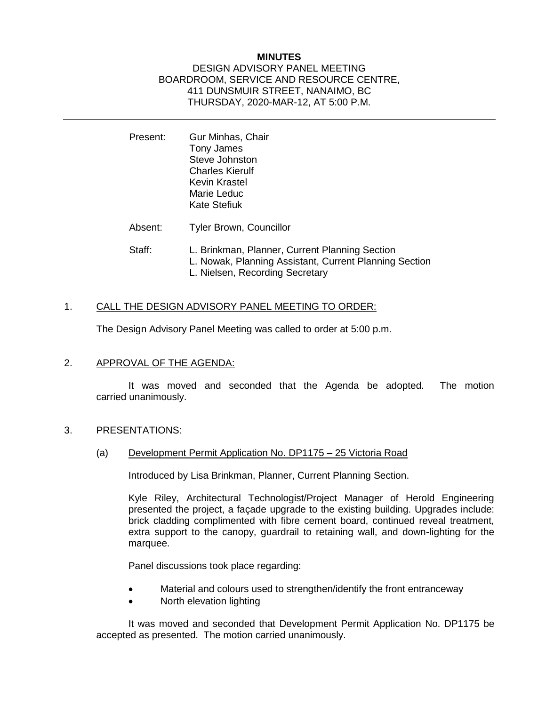## **MINUTES**

#### DESIGN ADVISORY PANEL MEETING BOARDROOM, SERVICE AND RESOURCE CENTRE, 411 DUNSMUIR STREET, NANAIMO, BC THURSDAY, 2020-MAR-12, AT 5:00 P.M.

- Present: Gur Minhas, Chair Tony James Steve Johnston Charles Kierulf Kevin Krastel Marie Leduc Kate Stefiuk
- Absent: Tyler Brown, Councillor
- Staff: L. Brinkman, Planner, Current Planning Section L. Nowak, Planning Assistant, Current Planning Section L. Nielsen, Recording Secretary

## 1. CALL THE DESIGN ADVISORY PANEL MEETING TO ORDER:

The Design Advisory Panel Meeting was called to order at 5:00 p.m.

2. APPROVAL OF THE AGENDA:

It was moved and seconded that the Agenda be adopted. The motion carried unanimously.

- 3. PRESENTATIONS:
	- (a) Development Permit Application No. DP1175 25 Victoria Road

Introduced by Lisa Brinkman, Planner, Current Planning Section.

Kyle Riley, Architectural Technologist/Project Manager of Herold Engineering presented the project, a façade upgrade to the existing building. Upgrades include: brick cladding complimented with fibre cement board, continued reveal treatment, extra support to the canopy, guardrail to retaining wall, and down-lighting for the marquee.

Panel discussions took place regarding:

- Material and colours used to strengthen/identify the front entranceway
- North elevation lighting

It was moved and seconded that Development Permit Application No. DP1175 be accepted as presented. The motion carried unanimously.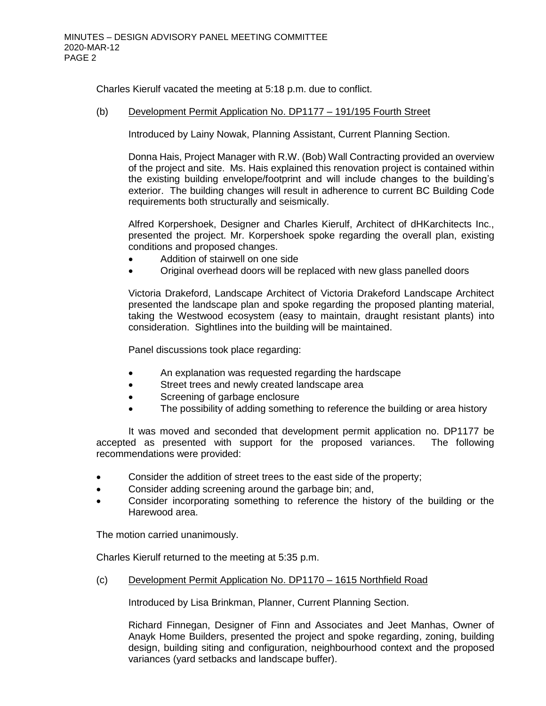Charles Kierulf vacated the meeting at 5:18 p.m. due to conflict.

#### (b) Development Permit Application No. DP1177 – 191/195 Fourth Street

Introduced by Lainy Nowak, Planning Assistant, Current Planning Section.

Donna Hais, Project Manager with R.W. (Bob) Wall Contracting provided an overview of the project and site. Ms. Hais explained this renovation project is contained within the existing building envelope/footprint and will include changes to the building's exterior. The building changes will result in adherence to current BC Building Code requirements both structurally and seismically.

Alfred Korpershoek, Designer and Charles Kierulf, Architect of dHKarchitects Inc., presented the project. Mr. Korpershoek spoke regarding the overall plan, existing conditions and proposed changes.

- Addition of stairwell on one side
- Original overhead doors will be replaced with new glass panelled doors

Victoria Drakeford, Landscape Architect of Victoria Drakeford Landscape Architect presented the landscape plan and spoke regarding the proposed planting material, taking the Westwood ecosystem (easy to maintain, draught resistant plants) into consideration. Sightlines into the building will be maintained.

Panel discussions took place regarding:

- An explanation was requested regarding the hardscape
- Street trees and newly created landscape area
- Screening of garbage enclosure
- The possibility of adding something to reference the building or area history

It was moved and seconded that development permit application no. DP1177 be accepted as presented with support for the proposed variances. The following recommendations were provided:

- Consider the addition of street trees to the east side of the property;
- Consider adding screening around the garbage bin; and,
- Consider incorporating something to reference the history of the building or the Harewood area.

The motion carried unanimously.

Charles Kierulf returned to the meeting at 5:35 p.m.

(c) Development Permit Application No. DP1170 – 1615 Northfield Road

Introduced by Lisa Brinkman, Planner, Current Planning Section.

Richard Finnegan, Designer of Finn and Associates and Jeet Manhas, Owner of Anayk Home Builders, presented the project and spoke regarding, zoning, building design, building siting and configuration, neighbourhood context and the proposed variances (yard setbacks and landscape buffer).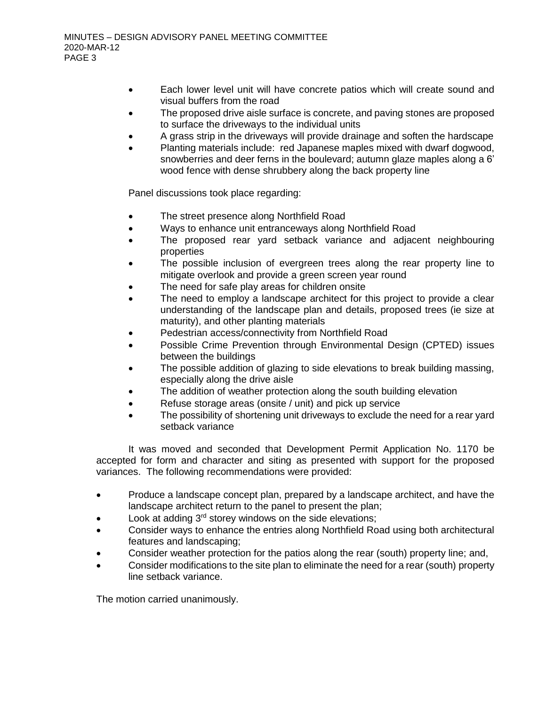- Each lower level unit will have concrete patios which will create sound and visual buffers from the road
- The proposed drive aisle surface is concrete, and paving stones are proposed to surface the driveways to the individual units
- A grass strip in the driveways will provide drainage and soften the hardscape
- Planting materials include: red Japanese maples mixed with dwarf dogwood, snowberries and deer ferns in the boulevard; autumn glaze maples along a 6' wood fence with dense shrubbery along the back property line

Panel discussions took place regarding:

- The street presence along Northfield Road
- Ways to enhance unit entranceways along Northfield Road
- The proposed rear yard setback variance and adjacent neighbouring properties
- The possible inclusion of evergreen trees along the rear property line to mitigate overlook and provide a green screen year round
- The need for safe play areas for children onsite
- The need to employ a landscape architect for this project to provide a clear understanding of the landscape plan and details, proposed trees (ie size at maturity), and other planting materials
- Pedestrian access/connectivity from Northfield Road
- Possible Crime Prevention through Environmental Design (CPTED) issues between the buildings
- The possible addition of glazing to side elevations to break building massing, especially along the drive aisle
- The addition of weather protection along the south building elevation
- Refuse storage areas (onsite / unit) and pick up service
- The possibility of shortening unit driveways to exclude the need for a rear yard setback variance

It was moved and seconded that Development Permit Application No. 1170 be accepted for form and character and siting as presented with support for the proposed variances. The following recommendations were provided:

- Produce a landscape concept plan, prepared by a landscape architect, and have the landscape architect return to the panel to present the plan;
- Look at adding  $3<sup>rd</sup>$  storey windows on the side elevations;
- Consider ways to enhance the entries along Northfield Road using both architectural features and landscaping;
- Consider weather protection for the patios along the rear (south) property line; and,
- Consider modifications to the site plan to eliminate the need for a rear (south) property line setback variance.

The motion carried unanimously.